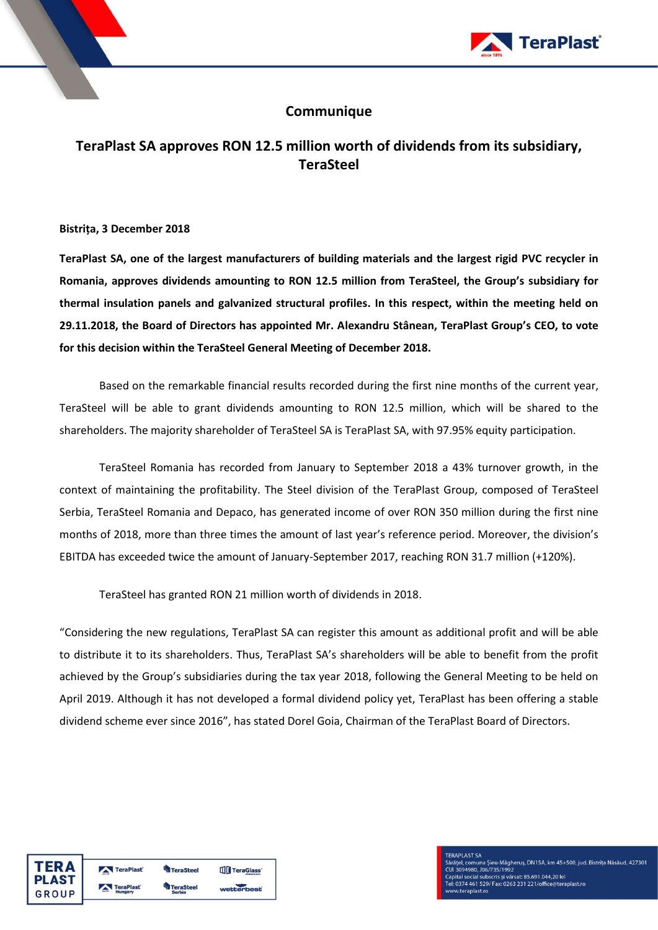

## **Communique**

## **TeraPlast SA approves RON 12.5 million worth of dividends from its subsidiary, TeraSteel**

**Bistrița, 3 December 2018**

**TeraPlast SA, one of the largest manufacturers of building materials and the largest rigid PVC recycler in Romania, approves dividends amounting to RON 12.5 million from TeraSteel, the Group's subsidiary for thermal insulation panels and galvanized structural profiles. In this respect, within the meeting held on 29.11.2018, the Board of Directors has appointed Mr. Alexandru Stânean, TeraPlast Group's CEO, to vote for this decision within the TeraSteel General Meeting of December 2018.**

Based on the remarkable financial results recorded during the first nine months of the current year, TeraSteel will be able to grant dividends amounting to RON 12.5 million, which will be shared to the shareholders. The majority shareholder of TeraSteel SA is TeraPlast SA, with 97.95% equity participation.

TeraSteel Romania has recorded from January to September 2018 a 43% turnover growth, in the context of maintaining the profitability. The Steel division of the TeraPlast Group, composed of TeraSteel Serbia, TeraSteel Romania and Depaco, has generated income of over RON 350 million during the first nine months of 2018, more than three times the amount of last year's reference period. Moreover, the division's EBITDA has exceeded twice the amount of January-September 2017, reaching RON 31.7 million (+120%).

TeraSteel has granted RON 21 million worth of dividends in 2018.

"Considering the new regulations, TeraPlast SA can register this amount as additional profit and will be able to distribute it to its shareholders. Thus, TeraPlast SA's shareholders will be able to benefit from the profit achieved by the Group's subsidiaries during the tax year 2018, following the General Meeting to be held on April 2019. Although it has not developed a formal dividend policy yet, TeraPlast has been offering a stable dividend scheme ever since 2016", has stated Dorel Goia, Chairman of the TeraPlast Board of Directors.

| ΓFR Δ  | TeraPlast        | <b>TeraSteel</b> | <b>TITI TeraGlass</b> |
|--------|------------------|------------------|-----------------------|
| PI AST | <b>TeraPlast</b> | <b>eraSteel</b>  |                       |
| GROUP  | Hungary          | <b>Serbia</b>    | wetterbest            |